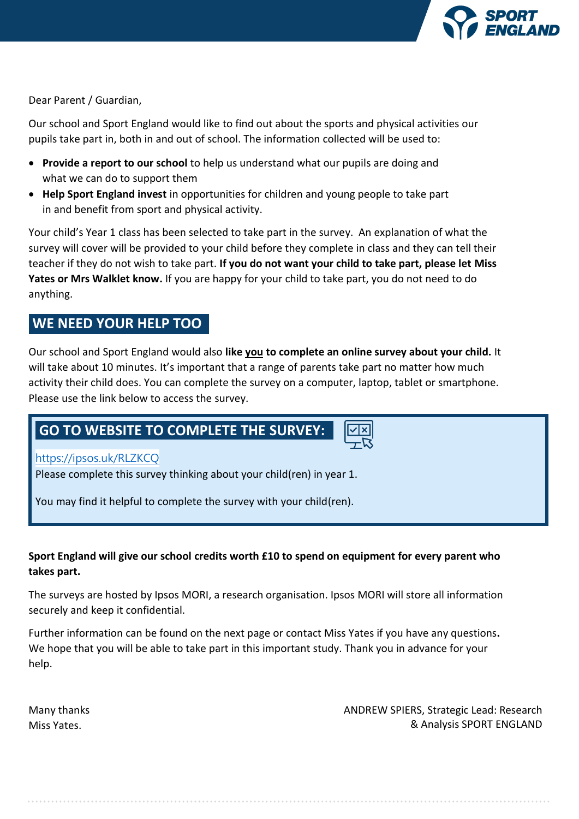

Dear Parent / Guardian,

Our school and Sport England would like to find out about the sports and physical activities our pupils take part in, both in and out of school. The information collected will be used to:

- **Provide a report to our school** to help us understand what our pupils are doing and what we can do to support them
- **Help Sport England invest** in opportunities for children and young people to take part in and benefit from sport and physical activity.

Your child's Year 1 class has been selected to take part in the survey. An explanation of what the survey will cover will be provided to your child before they complete in class and they can tell their teacher if they do not wish to take part. **If you do not want your child to take part, please let Miss Yates or Mrs Walklet know.** If you are happy for your child to take part, you do not need to do anything.

# **WE NEED YOUR HELP TOO**

Our school and Sport England would also **like you to complete an online survey about your child.** It will take about 10 minutes. It's important that a range of parents take part no matter how much activity their child does. You can complete the survey on a computer, laptop, tablet or smartphone. Please use the link below to access the survey.

# **GO TO WEBSITE TO COMPLETE THE SURVEY:**

# <https://ipsos.uk/RLZKCQ>

Please complete this survey thinking about your child(ren) in year 1.

You may find it helpful to complete the survey with your child(ren).

# **Sport England will give our school credits worth £10 to spend on equipment for every parent who takes part.**

The surveys are hosted by Ipsos MORI, a research organisation. Ipsos MORI will store all information securely and keep it confidential.

Further information can be found on the next page or contact Miss Yates if you have any questions**.**  We hope that you will be able to take part in this important study. Thank you in advance for your help.

Many thanks Miss Yates.

ANDREW SPIERS, Strategic Lead: Research & Analysis SPORT ENGLAND